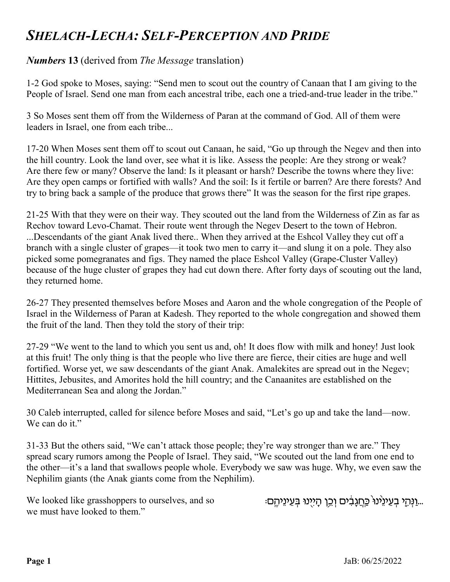## SHELACH-LECHA: SELF-PERCEPTION AND PRIDE

## Numbers 13 (derived from The Message translation)

1-2 God spoke to Moses, saying: "Send men to scout out the country of Canaan that I am giving to the People of Israel. Send one man from each ancestral tribe, each one a tried-and-true leader in the tribe."

3 So Moses sent them off from the Wilderness of Paran at the command of God. All of them were leaders in Israel, one from each tribe...

17-20 When Moses sent them off to scout out Canaan, he said, "Go up through the Negev and then into the hill country. Look the land over, see what it is like. Assess the people: Are they strong or weak? Are there few or many? Observe the land: Is it pleasant or harsh? Describe the towns where they live: Are they open camps or fortified with walls? And the soil: Is it fertile or barren? Are there forests? And try to bring back a sample of the produce that grows there" It was the season for the first ripe grapes.

21-25 With that they were on their way. They scouted out the land from the Wilderness of Zin as far as Rechov toward Levo-Chamat. Their route went through the Negev Desert to the town of Hebron. ...Descendants of the giant Anak lived there.. When they arrived at the Eshcol Valley they cut off a branch with a single cluster of grapes—it took two men to carry it—and slung it on a pole. They also picked some pomegranates and figs. They named the place Eshcol Valley (Grape-Cluster Valley) because of the huge cluster of grapes they had cut down there. After forty days of scouting out the land, they returned home.

26-27 They presented themselves before Moses and Aaron and the whole congregation of the People of Israel in the Wilderness of Paran at Kadesh. They reported to the whole congregation and showed them the fruit of the land. Then they told the story of their trip:

27-29 "We went to the land to which you sent us and, oh! It does flow with milk and honey! Just look at this fruit! The only thing is that the people who live there are fierce, their cities are huge and well fortified. Worse yet, we saw descendants of the giant Anak. Amalekites are spread out in the Negev; Hittites, Jebusites, and Amorites hold the hill country; and the Canaanites are established on the Mediterranean Sea and along the Jordan."

30 Caleb interrupted, called for silence before Moses and said, "Let's go up and take the land—now. We can do it."

31-33 But the others said, "We can't attack those people; they're way stronger than we are." They spread scary rumors among the People of Israel. They said, "We scouted out the land from one end to the other—it's a land that swallows people whole. Everybody we saw was huge. Why, we even saw the Nephilim giants (the Anak giants come from the Nephilim).

We looked like grasshoppers to ourselves, and so we must have looked to them."

..וַנְּהֵי בְעֱינֵינוּ כֵּחֲגַבִּׄים וְכֵן הַיִיְנוּ בִּעֲינֵיהֵם.